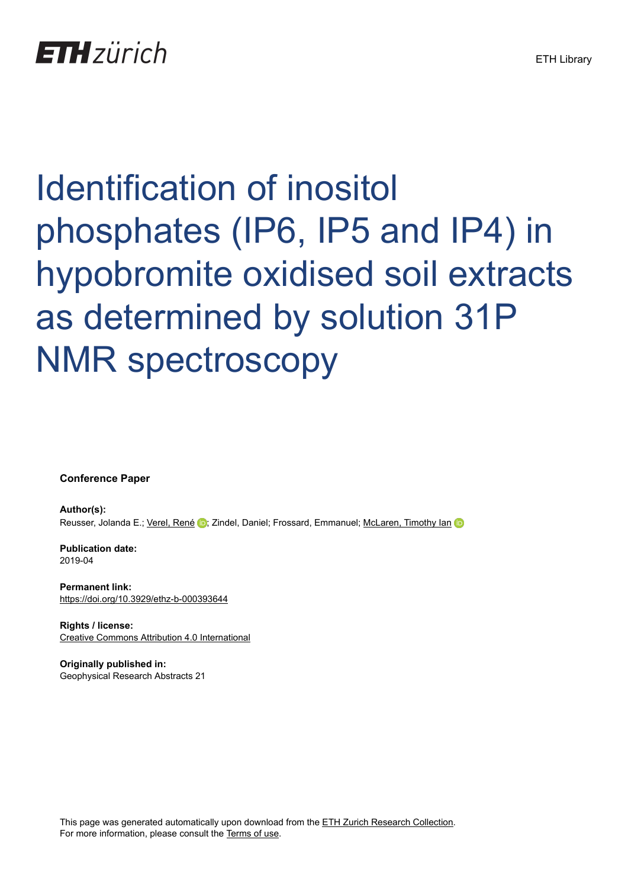## Identification of inositol phosphates (IP6, IP5 and IP4) in hypobromite oxidised soil extracts as determined by solution 31P NMR spectroscopy

**Conference Paper**

**Author(s):** Reusser, Jolanda E.; [Verel, René](https://orcid.org/0000-0003-1575-2232) i ; Zindel, Daniel; Frossard, Emmanuel; [McLaren, Timothy Ian](https://orcid.org/0000-0002-5257-7755)

**Publication date:** 2019-04

**Permanent link:** <https://doi.org/10.3929/ethz-b-000393644>

**Rights / license:** [Creative Commons Attribution 4.0 International](http://creativecommons.org/licenses/by/4.0/)

**Originally published in:** Geophysical Research Abstracts 21